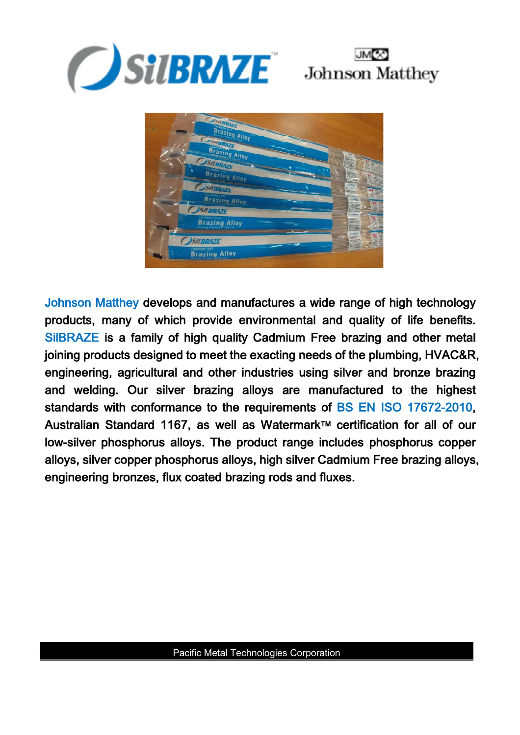





Johnson Matthey develops and manufactures a wide range of high technology products, many of which provide environmental and quality of life benefits. SilBRAZE is a family of high quality Cadmium Free brazing and other metal joining products designed to meet the exacting needs of the plumbing, HVAC&R, engineering, agricultural and other industries using silver and bronze brazing and welding. Our silver brazing alloys are manufactured to the highest standards with conformance to the requirements of BS EN ISO 17672-2010, Australian Standard 1167, as well as Watermark™ certification for all of our low-silver phosphorus alloys. The product range includes phosphorus copper alloys, silver copper phosphorus alloys, high silver Cadmium Free brazing alloys, engineering bronzes, flux coated brazing rods and fluxes.